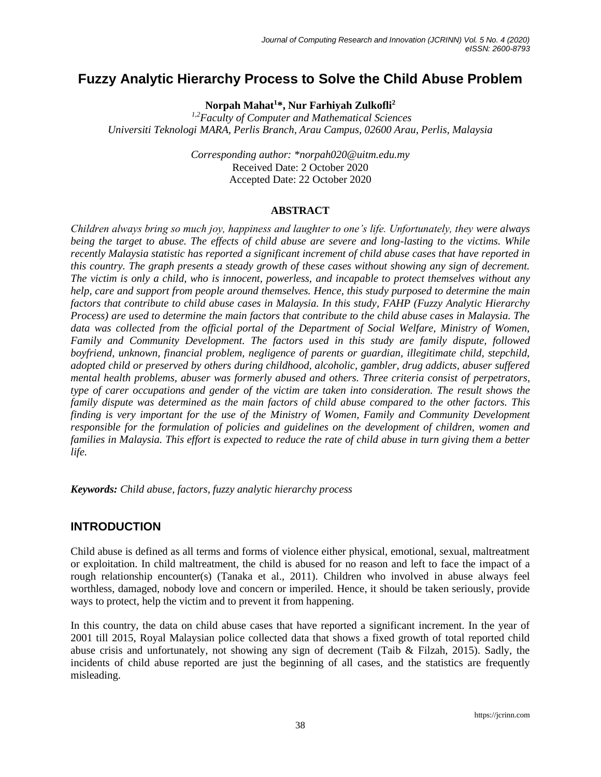# **Fuzzy Analytic Hierarchy Process to Solve the Child Abuse Problem**

**Norpah Mahat<sup>1</sup>\*, Nur Farhiyah Zulkofli<sup>2</sup>**

*1,2Faculty of Computer and Mathematical Sciences Universiti Teknologi MARA, Perlis Branch, Arau Campus, 02600 Arau, Perlis, Malaysia*

> *Corresponding author: \*norpah020@uitm.edu.my* Received Date: 2 October 2020 Accepted Date: 22 October 2020

#### **ABSTRACT**

*Children always bring so much joy, happiness and laughter to one's life. Unfortunately, they were always being the target to abuse. The effects of child abuse are severe and long-lasting to the victims. While recently Malaysia statistic has reported a significant increment of child abuse cases that have reported in this country. The graph presents a steady growth of these cases without showing any sign of decrement. The victim is only a child, who is innocent, powerless, and incapable to protect themselves without any help, care and support from people around themselves. Hence, this study purposed to determine the main factors that contribute to child abuse cases in Malaysia. In this study, FAHP (Fuzzy Analytic Hierarchy Process) are used to determine the main factors that contribute to the child abuse cases in Malaysia. The*  data was collected from the official portal of the Department of Social Welfare, Ministry of Women, *Family and Community Development. The factors used in this study are family dispute, followed boyfriend, unknown, financial problem, negligence of parents or guardian, illegitimate child, stepchild, adopted child or preserved by others during childhood, alcoholic, gambler, drug addicts, abuser suffered mental health problems, abuser was formerly abused and others. Three criteria consist of perpetrators, type of carer occupations and gender of the victim are taken into consideration. The result shows the family dispute was determined as the main factors of child abuse compared to the other factors. This finding is very important for the use of the Ministry of Women, Family and Community Development responsible for the formulation of policies and guidelines on the development of children, women and families in Malaysia. This effort is expected to reduce the rate of child abuse in turn giving them a better life.*

*Keywords: Child abuse, factors, fuzzy analytic hierarchy process*

# **INTRODUCTION**

Child abuse is defined as all terms and forms of violence either physical, emotional, sexual, maltreatment or exploitation. In child maltreatment, the child is abused for no reason and left to face the impact of a rough relationship encounter(s) (Tanaka et al., 2011). Children who involved in abuse always feel worthless, damaged, nobody love and concern or imperiled. Hence, it should be taken seriously, provide ways to protect, help the victim and to prevent it from happening.

In this country, the data on child abuse cases that have reported a significant increment. In the year of 2001 till 2015, Royal Malaysian police collected data that shows a fixed growth of total reported child abuse crisis and unfortunately, not showing any sign of decrement (Taib & Filzah, 2015). Sadly, the incidents of child abuse reported are just the beginning of all cases, and the statistics are frequently misleading.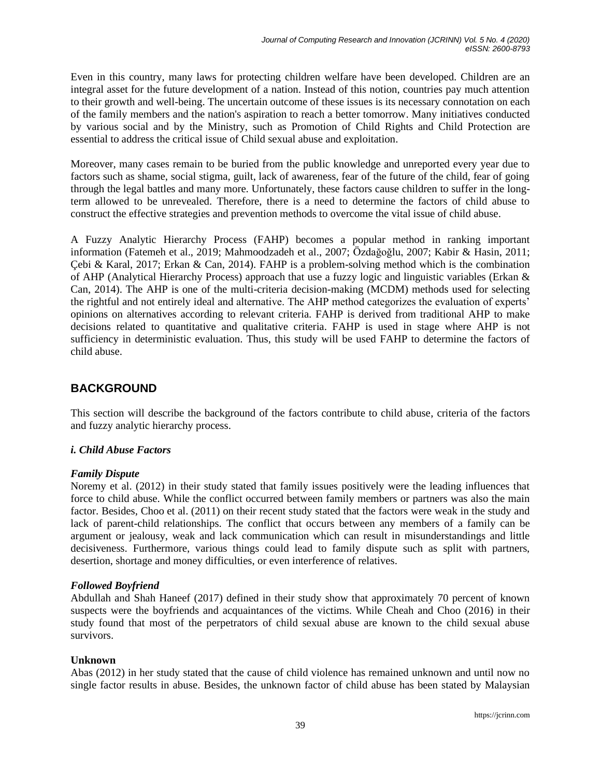Even in this country, many laws for protecting children welfare have been developed. Children are an integral asset for the future development of a nation. Instead of this notion, countries pay much attention to their growth and well-being. The uncertain outcome of these issues is its necessary connotation on each of the family members and the nation's aspiration to reach a better tomorrow. Many initiatives conducted by various social and by the Ministry, such as Promotion of Child Rights and Child Protection are essential to address the critical issue of Child sexual abuse and exploitation.

Moreover, many cases remain to be buried from the public knowledge and unreported every year due to factors such as shame, social stigma, guilt, lack of awareness, fear of the future of the child, fear of going through the legal battles and many more. Unfortunately, these factors cause children to suffer in the longterm allowed to be unrevealed. Therefore, there is a need to determine the factors of child abuse to construct the effective strategies and prevention methods to overcome the vital issue of child abuse.

A Fuzzy Analytic Hierarchy Process (FAHP) becomes a popular method in ranking important information (Fatemeh et al., 2019; Mahmoodzadeh et al., 2007; Özdağoğlu, 2007; Kabir & Hasin, 2011; Çebi & Karal, 2017; Erkan & Can, 2014). FAHP is a problem-solving method which is the combination of AHP (Analytical Hierarchy Process) approach that use a fuzzy logic and linguistic variables (Erkan & Can, 2014). The AHP is one of the multi-criteria decision-making (MCDM) methods used for selecting the rightful and not entirely ideal and alternative. The AHP method categorizes the evaluation of experts' opinions on alternatives according to relevant criteria. FAHP is derived from traditional AHP to make decisions related to quantitative and qualitative criteria. FAHP is used in stage where AHP is not sufficiency in deterministic evaluation. Thus, this study will be used FAHP to determine the factors of child abuse.

# **BACKGROUND**

This section will describe the background of the factors contribute to child abuse, criteria of the factors and fuzzy analytic hierarchy process.

# *i. Child Abuse Factors*

# *Family Dispute*

Noremy et al. (2012) in their study stated that family issues positively were the leading influences that force to child abuse. While the conflict occurred between family members or partners was also the main factor. Besides, Choo et al. (2011) on their recent study stated that the factors were weak in the study and lack of parent-child relationships. The conflict that occurs between any members of a family can be argument or jealousy, weak and lack communication which can result in misunderstandings and little decisiveness. Furthermore, various things could lead to family dispute such as split with partners, desertion, shortage and money difficulties, or even interference of relatives.

# *Followed Boyfriend*

Abdullah and Shah Haneef (2017) defined in their study show that approximately 70 percent of known suspects were the boyfriends and acquaintances of the victims. While Cheah and Choo (2016) in their study found that most of the perpetrators of child sexual abuse are known to the child sexual abuse survivors.

# **Unknown**

Abas (2012) in her study stated that the cause of child violence has remained unknown and until now no single factor results in abuse. Besides, the unknown factor of child abuse has been stated by Malaysian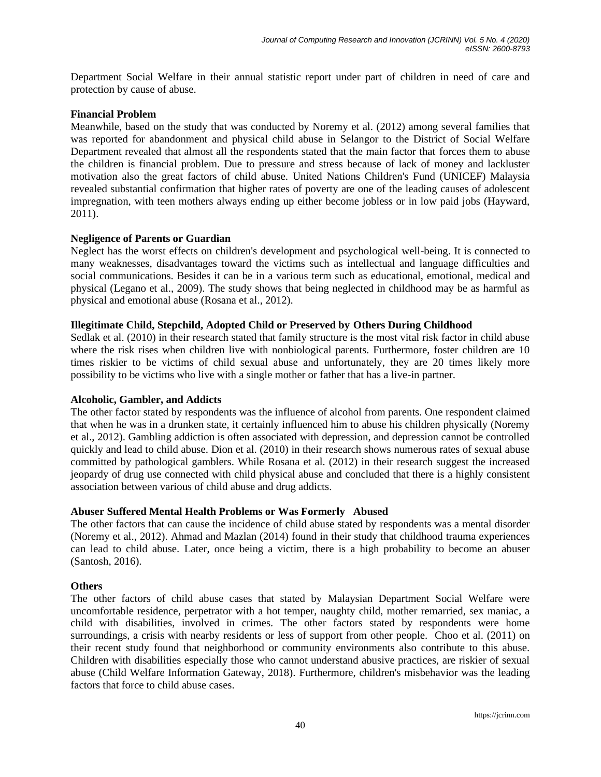Department Social Welfare in their annual statistic report under part of children in need of care and protection by cause of abuse.

#### **Financial Problem**

Meanwhile, based on the study that was conducted by Noremy et al. (2012) among several families that was reported for abandonment and physical child abuse in Selangor to the District of Social Welfare Department revealed that almost all the respondents stated that the main factor that forces them to abuse the children is financial problem. Due to pressure and stress because of lack of money and lackluster motivation also the great factors of child abuse. United Nations Children's Fund (UNICEF) Malaysia revealed substantial confirmation that higher rates of poverty are one of the leading causes of adolescent impregnation, with teen mothers always ending up either become jobless or in low paid jobs (Hayward, 2011).

#### **Negligence of Parents or Guardian**

Neglect has the worst effects on children's development and psychological well-being. It is connected to many weaknesses, disadvantages toward the victims such as intellectual and language difficulties and social communications. Besides it can be in a various term such as educational, emotional, medical and physical (Legano et al., 2009). The study shows that being neglected in childhood may be as harmful as physical and emotional abuse (Rosana et al., 2012).

#### **Illegitimate Child, Stepchild, Adopted Child or Preserved by Others During Childhood**

Sedlak et al. (2010) in their research stated that family structure is the most vital risk factor in child abuse where the risk rises when children live with nonbiological parents. Furthermore, foster children are 10 times riskier to be victims of child sexual abuse and unfortunately, they are 20 times likely more possibility to be victims who live with a single mother or father that has a live-in partner.

#### **Alcoholic, Gambler, and Addicts**

The other factor stated by respondents was the influence of alcohol from parents. One respondent claimed that when he was in a drunken state, it certainly influenced him to abuse his children physically (Noremy et al., 2012). Gambling addiction is often associated with depression, and depression cannot be controlled quickly and lead to child abuse. Dion et al. (2010) in their research shows numerous rates of sexual abuse committed by pathological gamblers. While Rosana et al. (2012) in their research suggest the increased jeopardy of drug use connected with child physical abuse and concluded that there is a highly consistent association between various of child abuse and drug addicts.

#### **Abuser Suffered Mental Health Problems or Was Formerly Abused**

The other factors that can cause the incidence of child abuse stated by respondents was a mental disorder (Noremy et al., 2012). Ahmad and Mazlan (2014) found in their study that childhood trauma experiences can lead to child abuse. Later, once being a victim, there is a high probability to become an abuser (Santosh, 2016).

#### **Others**

The other factors of child abuse cases that stated by Malaysian Department Social Welfare were uncomfortable residence, perpetrator with a hot temper, naughty child, mother remarried, sex maniac, a child with disabilities, involved in crimes. The other factors stated by respondents were home surroundings, a crisis with nearby residents or less of support from other people. Choo et al. (2011) on their recent study found that neighborhood or community environments also contribute to this abuse. Children with disabilities especially those who cannot understand abusive practices, are riskier of sexual abuse (Child Welfare Information Gateway, 2018). Furthermore, children's misbehavior was the leading factors that force to child abuse cases.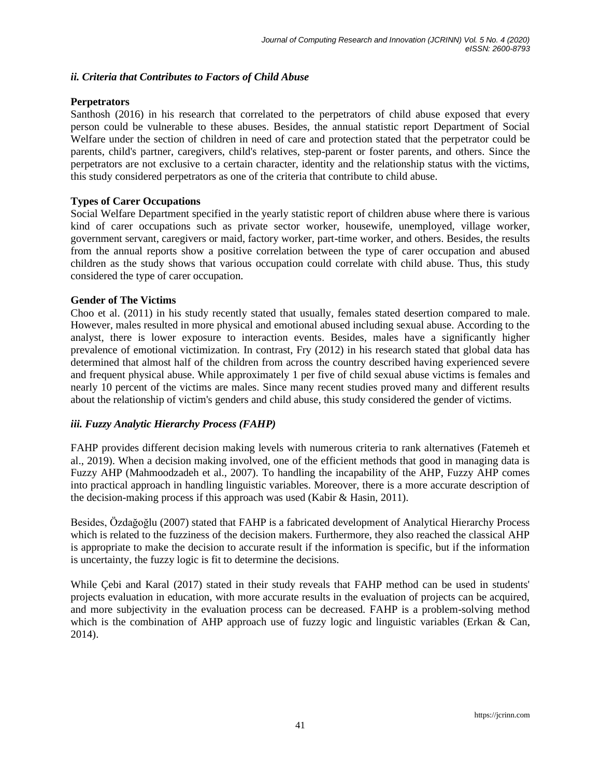#### *ii. Criteria that Contributes to Factors of Child Abuse*

#### **Perpetrators**

Santhosh (2016) in his research that correlated to the perpetrators of child abuse exposed that every person could be vulnerable to these abuses. Besides, the annual statistic report Department of Social Welfare under the section of children in need of care and protection stated that the perpetrator could be parents, child's partner, caregivers, child's relatives, step-parent or foster parents, and others. Since the perpetrators are not exclusive to a certain character, identity and the relationship status with the victims, this study considered perpetrators as one of the criteria that contribute to child abuse.

#### **Types of Carer Occupations**

Social Welfare Department specified in the yearly statistic report of children abuse where there is various kind of carer occupations such as private sector worker, housewife, unemployed, village worker, government servant, caregivers or maid, factory worker, part-time worker, and others. Besides, the results from the annual reports show a positive correlation between the type of carer occupation and abused children as the study shows that various occupation could correlate with child abuse. Thus, this study considered the type of carer occupation.

#### **Gender of The Victims**

Choo et al. (2011) in his study recently stated that usually, females stated desertion compared to male. However, males resulted in more physical and emotional abused including sexual abuse. According to the analyst, there is lower exposure to interaction events. Besides, males have a significantly higher prevalence of emotional victimization. In contrast, Fry (2012) in his research stated that global data has determined that almost half of the children from across the country described having experienced severe and frequent physical abuse. While approximately 1 per five of child sexual abuse victims is females and nearly 10 percent of the victims are males. Since many recent studies proved many and different results about the relationship of victim's genders and child abuse, this study considered the gender of victims.

#### *iii. Fuzzy Analytic Hierarchy Process (FAHP)*

FAHP provides different decision making levels with numerous criteria to rank alternatives (Fatemeh et al., 2019). When a decision making involved, one of the efficient methods that good in managing data is Fuzzy AHP (Mahmoodzadeh et al., 2007). To handling the incapability of the AHP, Fuzzy AHP comes into practical approach in handling linguistic variables. Moreover, there is a more accurate description of the decision-making process if this approach was used (Kabir & Hasin, 2011).

Besides, Özdağoğlu (2007) stated that FAHP is a fabricated development of Analytical Hierarchy Process which is related to the fuzziness of the decision makers. Furthermore, they also reached the classical AHP is appropriate to make the decision to accurate result if the information is specific, but if the information is uncertainty, the fuzzy logic is fit to determine the decisions.

While Çebi and Karal (2017) stated in their study reveals that FAHP method can be used in students' projects evaluation in education, with more accurate results in the evaluation of projects can be acquired, and more subjectivity in the evaluation process can be decreased. FAHP is a problem-solving method which is the combination of AHP approach use of fuzzy logic and linguistic variables (Erkan  $\&$  Can, 2014).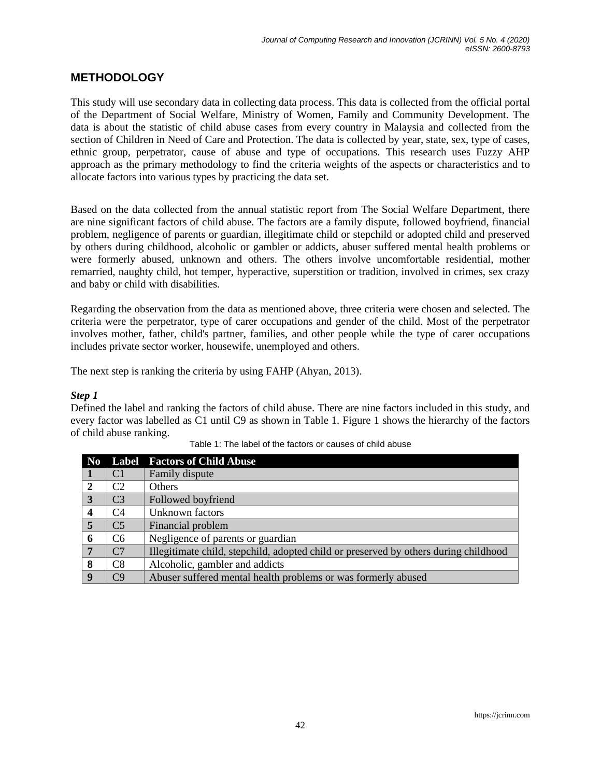# **METHODOLOGY**

This study will use secondary data in collecting data process. This data is collected from the official portal of the Department of Social Welfare, Ministry of Women, Family and Community Development. The data is about the statistic of child abuse cases from every country in Malaysia and collected from the section of Children in Need of Care and Protection. The data is collected by year, state, sex, type of cases, ethnic group, perpetrator, cause of abuse and type of occupations. This research uses Fuzzy AHP approach as the primary methodology to find the criteria weights of the aspects or characteristics and to allocate factors into various types by practicing the data set.

Based on the data collected from the annual statistic report from The Social Welfare Department, there are nine significant factors of child abuse. The factors are a family dispute, followed boyfriend, financial problem, negligence of parents or guardian, illegitimate child or stepchild or adopted child and preserved by others during childhood, alcoholic or gambler or addicts, abuser suffered mental health problems or were formerly abused, unknown and others. The others involve uncomfortable residential, mother remarried, naughty child, hot temper, hyperactive, superstition or tradition, involved in crimes, sex crazy and baby or child with disabilities.

Regarding the observation from the data as mentioned above, three criteria were chosen and selected. The criteria were the perpetrator, type of carer occupations and gender of the child. Most of the perpetrator involves mother, father, child's partner, families, and other people while the type of carer occupations includes private sector worker, housewife, unemployed and others.

The next step is ranking the criteria by using FAHP (Ahyan, 2013).

#### *Step 1*

Defined the label and ranking the factors of child abuse. There are nine factors included in this study, and every factor was labelled as C1 until C9 as shown in Table 1. Figure 1 shows the hierarchy of the factors of child abuse ranking.

| N <sub>0</sub>   |                | <b>Label Factors of Child Abuse</b>                                                  |  |  |  |
|------------------|----------------|--------------------------------------------------------------------------------------|--|--|--|
|                  | C <sub>1</sub> | Family dispute                                                                       |  |  |  |
| $\mathbf{2}$     | C2             | <b>Others</b>                                                                        |  |  |  |
| 3                | C <sub>3</sub> | Followed boyfriend                                                                   |  |  |  |
| $\boldsymbol{4}$ | C <sub>4</sub> | Unknown factors                                                                      |  |  |  |
| $\overline{5}$   | C <sub>5</sub> | Financial problem                                                                    |  |  |  |
| 6                | C <sub>6</sub> | Negligence of parents or guardian                                                    |  |  |  |
| 7                | C <sub>7</sub> | Illegitimate child, stepchild, adopted child or preserved by others during childhood |  |  |  |
| 8                | C <sub>8</sub> | Alcoholic, gambler and addicts                                                       |  |  |  |
| $\mathbf Q$      | C9             | Abuser suffered mental health problems or was formerly abused                        |  |  |  |

Table 1: The label of the factors or causes of child abuse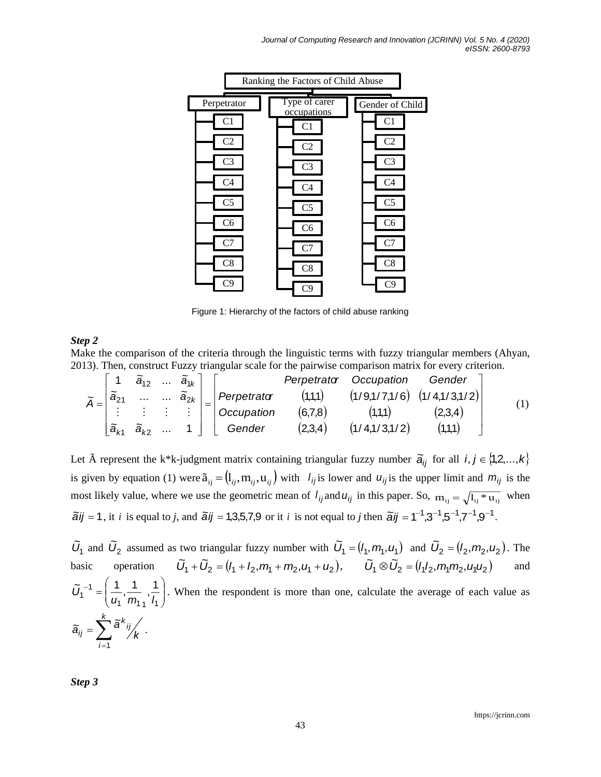

Figure 1: Hierarchy of the factors of child abuse ranking

#### *Step 2*

Make the comparison of the criteria through the linguistic terms with fuzzy triangular members (Ahyan, 2013). Then, construct Fuzzy triangular scale for the pairwise comparison matrix for every criterion.

|                   |                                     |                                          |         |               |             | ake the comparison of the criteria through the linguistic terms with fuzzy triangular members (Ahyan, |         |     |
|-------------------|-------------------------------------|------------------------------------------|---------|---------------|-------------|-------------------------------------------------------------------------------------------------------|---------|-----|
|                   |                                     |                                          |         |               |             | 13). Then, construct Fuzzy triangular scale for the pairwise comparison matrix for every criterion.   |         |     |
|                   | 1 $\tilde{a}_{12}$ $\tilde{a}_{1k}$ |                                          |         |               | Perpetrator | Occupation                                                                                            | Gender  |     |
| $\tilde{a}_{21}$  |                                     | $\ldots \ \ \widetilde{\mathsf{a}}_{2k}$ |         | Perpetrator   | (1,1,1)     | $(1/9,1/7,1/6)$ $(1/4,1/3,1/2)$                                                                       |         |     |
|                   |                                     |                                          |         | Occupation    | (6,7,8)     | (1,1,1)                                                                                               | (2,3,4) | (1) |
| $\tilde{a}_{\nu}$ | Gender<br>$\tilde{a}_{k2}$          |                                          | (2,3,4) | (1/4,1/3,1/2) | (1,1,1)     |                                                                                                       |         |     |

Let  $\tilde{A}$  represent the k\*k-judgment matrix containing triangular fuzzy number  $\tilde{a}_{ij}$  for all  $i, j \in \{1,2,...,k\}$ is given by equation (1) were  $\tilde{a}_{ij} = (l_{ij}, m_{ij}, u_{ij})$  with  $l_{ij}$  is lower and  $u_{ij}$  is the upper limit and  $m_{ij}$  is the most likely value, where we use the geometric mean of  $l_{ij}$  and  $u_{ij}$  in this paper. So,  $m_{ij} = \sqrt{l_{ij} * u_{ij}}$  when  $\tilde{a}$ *i* $j = 1$ , it *i* is equal to *j*, and  $\tilde{a}$ *ij* = 1,3,5,7,9 or it *i* is not equal to *j* then  $\tilde{a}$ *ij* = 1<sup>-1</sup>,3<sup>-1</sup>,5<sup>-1</sup>,7<sup>-1</sup>,9<sup>-1</sup>.

 $\tilde{U}_1$  and  $\tilde{U}_2$  assumed as two triangular fuzzy number with  $\tilde{U}_1 = (l_1, m_1, u_1)$  $\tilde{U}_1 = (l_1, m_1, u_1)$  and  $\tilde{U}_2 = (l_2, m_2, u_2)$  $\tilde{U}_2 = (l_2, m_2, u_2)$ . The basic operation  $\tilde{U}_1 + \tilde{U}_2 = (l_1 + l_2, m_1 + m_2, u_1 + u_2), \qquad \tilde{U}_1 \otimes \tilde{U}_2 = (l_1 l_2, m_1 m_2, u_1 u_2)$  $\tilde{U}_1 \otimes \tilde{U}_2 = (l_4 l_2, m_4 m_2, u_4 u_5)$ and l l J  $\backslash$  $\overline{\phantom{a}}$ J  $-1 = \left($ 1 *'''*11 11 1 1 1 , 1 ,  $\sim$  -1  $\pm$  1  $\tilde{U}_1^{-1} = \left[ \frac{1}{u_1}, \frac{1}{m_1}, \frac{1}{u_2} \right]$ . When the respondent is more than one, calculate the average of each value as  $\sum$ = *k i ij k ij k*  $\tilde{a}_{ii} = \sum a_i$ 1  $\widetilde{a}_{ii} = \sum \widetilde{a}^{\kappa}{}_{ij} \bigg/_{\!\! L}$  .

*Step 3*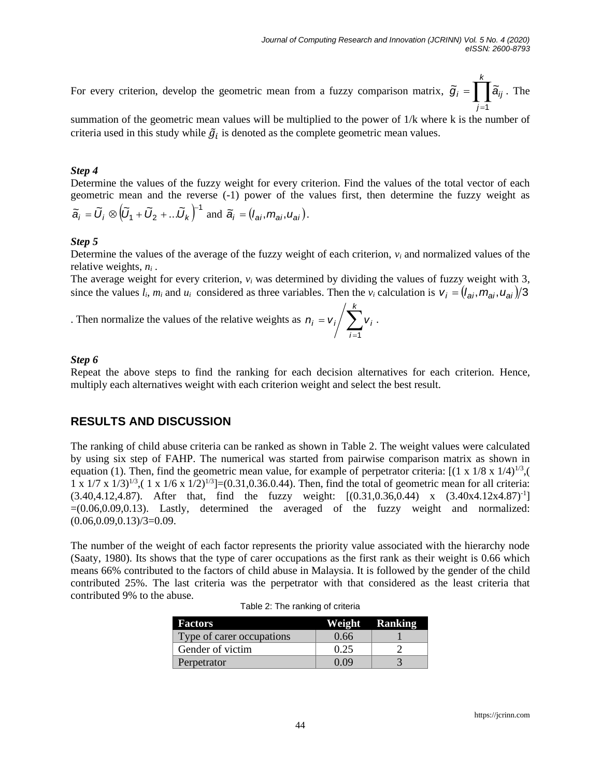For every criterion, develop the geometric mean from a fuzzy comparison matrix,  $\tilde{g}_i = \prod$ = *k j*  $\widetilde{g}_i = \prod \widetilde{a}_{ij}$ . The 1

summation of the geometric mean values will be multiplied to the power of 1/k where k is the number of criteria used in this study while  $\tilde{g}_i$  is denoted as the complete geometric mean values.

#### *Step 4*

Determine the values of the fuzzy weight for every criterion. Find the values of the total vector of each geometric mean and the reverse (-1) power of the values first, then determine the fuzzy weight as  $\big(\widetilde{U}_1 + \widetilde{U}_2 + ... \widetilde{U}_k \big)^{\!-1}$  $\tilde{a}_i = \tilde{U}_i \otimes (\tilde{U}_1 + \tilde{U}_2 + ... \tilde{U}_k)$  and  $\tilde{a}_i = (l_{ai}, m_{ai}, u_{ai})$ .

#### *Step 5*

Determine the values of the average of the fuzzy weight of each criterion, *v<sup>i</sup>* and normalized values of the relative weights, *n<sup>i</sup>* .

The average weight for every criterion,  $v_i$  was determined by dividing the values of fuzzy weight with 3, since the values  $l_i$ ,  $m_i$  and  $u_i$  considered as three variables. Then the  $v_i$  calculation is  $v_j = (l_{ai}, m_{ai}, u_{ai})/3$ 

*k*

*i*

1

.

. Then normalize the values of the relative weights as  $n_i = v_i / \sum_{i=1}^{n}$ =  $n_i = v_i / \sum v_i$ 

#### *Step 6*

Repeat the above steps to find the ranking for each decision alternatives for each criterion. Hence, multiply each alternatives weight with each criterion weight and select the best result.

# **RESULTS AND DISCUSSION**

The ranking of child abuse criteria can be ranked as shown in Table 2. The weight values were calculated by using six step of FAHP. The numerical was started from pairwise comparison matrix as shown in equation (1). Then, find the geometric mean value, for example of perpetrator criteria:  $[(1 \times 1/8 \times 1/4)^{1/3}]$  $1 \times 1/7 \times 1/3$ <sup>1/3</sup>,( 1 x 1/6 x 1/2)<sup>1/3</sup>]=(0.31,0.36.0.44). Then, find the total of geometric mean for all criteria:  $(3.40, 4.12, 4.87)$ . After that, find the fuzzy weight:  $[(0.31, 0.36, 0.44)$  x  $(3.40x4.12x4.87)^{-1}]$  $=(0.06, 0.09, 0.13)$ . Lastly, determined the averaged of the fuzzy weight and normalized:  $(0.06, 0.09, 0.13)/3=0.09$ .

The number of the weight of each factor represents the priority value associated with the hierarchy node (Saaty, 1980). Its shows that the type of carer occupations as the first rank as their weight is 0.66 which means 66% contributed to the factors of child abuse in Malaysia. It is followed by the gender of the child contributed 25%. The last criteria was the perpetrator with that considered as the least criteria that contributed 9% to the abuse.

| <b>Factors</b>            |      | Weight Ranking |
|---------------------------|------|----------------|
| Type of carer occupations | 0.66 |                |
| Gender of victim          | 0.25 |                |
| Perpetrator               | 0.09 |                |

Table 2: The ranking of criteria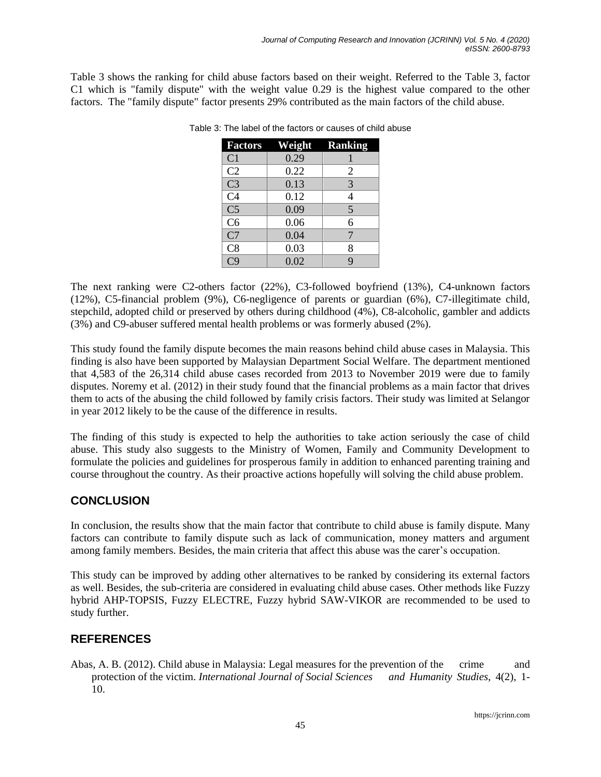Table 3 shows the ranking for child abuse factors based on their weight. Referred to the Table 3, factor C1 which is "family dispute" with the weight value 0.29 is the highest value compared to the other factors. The "family dispute" factor presents 29% contributed as the main factors of the child abuse.

| <b>Factors</b>         | <b>Weight Ranking</b> |   |
|------------------------|-----------------------|---|
| C <sub>1</sub>         | 0.29                  |   |
| C <sub>2</sub>         | 0.22                  | 2 |
| C <sub>3</sub>         | 0.13                  | 3 |
| $\overline{C4}$        | 0.12                  | 4 |
| $\overline{\text{C5}}$ | 0.09                  | 5 |
| C <sub>6</sub>         | 0.06                  | 6 |
| C7                     | 0.04                  | 7 |
| C8                     | 0.03                  | 8 |
| $\overline{C}9$        | 0.02                  | Q |

Table 3: The label of the factors or causes of child abuse

The next ranking were C2-others factor (22%), C3-followed boyfriend (13%), C4-unknown factors (12%), C5-financial problem (9%), C6-negligence of parents or guardian (6%), C7-illegitimate child, stepchild, adopted child or preserved by others during childhood (4%), C8-alcoholic, gambler and addicts (3%) and C9-abuser suffered mental health problems or was formerly abused (2%).

This study found the family dispute becomes the main reasons behind child abuse cases in Malaysia. This finding is also have been supported by Malaysian Department Social Welfare. The department mentioned that 4,583 of the 26,314 child abuse cases recorded from 2013 to November 2019 were due to family disputes. Noremy et al. (2012) in their study found that the financial problems as a main factor that drives them to acts of the abusing the child followed by family crisis factors. Their study was limited at Selangor in year 2012 likely to be the cause of the difference in results.

The finding of this study is expected to help the authorities to take action seriously the case of child abuse. This study also suggests to the Ministry of Women, Family and Community Development to formulate the policies and guidelines for prosperous family in addition to enhanced parenting training and course throughout the country. As their proactive actions hopefully will solving the child abuse problem.

# **CONCLUSION**

In conclusion, the results show that the main factor that contribute to child abuse is family dispute. Many factors can contribute to family dispute such as lack of communication, money matters and argument among family members. Besides, the main criteria that affect this abuse was the carer's occupation.

This study can be improved by adding other alternatives to be ranked by considering its external factors as well. Besides, the sub-criteria are considered in evaluating child abuse cases. Other methods like Fuzzy hybrid AHP-TOPSIS, Fuzzy ELECTRE, Fuzzy hybrid SAW-VIKOR are recommended to be used to study further.

# **REFERENCES**

Abas, A. B. (2012). Child abuse in Malaysia: Legal measures for the prevention of the crime and protection of the victim. *International Journal of Social Sciences and Humanity Studies*, 4(2), 1- 10.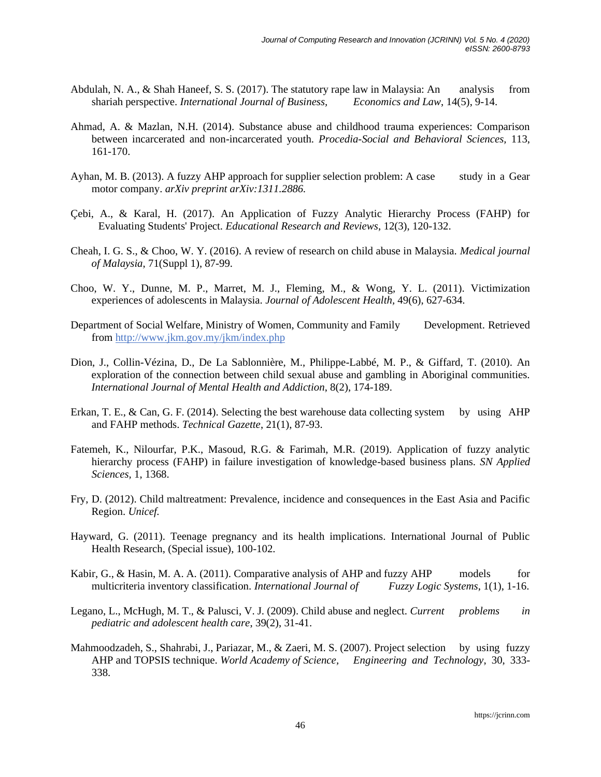- Abdulah, N. A., & Shah Haneef, S. S. (2017). The statutory rape law in Malaysia: An analysis from shariah perspective. *International Journal of Business, Economics and Law*, 14(5), 9-14.
- Ahmad, A. & Mazlan, N.H. (2014). Substance abuse and childhood trauma experiences: Comparison between incarcerated and non-incarcerated youth. *Procedia-Social and Behavioral Sciences,* 113, 161-170.
- Ayhan, M. B. (2013). A fuzzy AHP approach for supplier selection problem: A case study in a Gear motor company. *arXiv preprint arXiv:1311.2886.*
- Çebi, A., & Karal, H. (2017). An Application of Fuzzy Analytic Hierarchy Process (FAHP) for Evaluating Students' Project. *Educational Research and Reviews*, 12(3), 120-132.
- Cheah, I. G. S., & Choo, W. Y. (2016). A review of research on child abuse in Malaysia. *Medical journal of Malaysia*, 71(Suppl 1), 87-99.
- Choo, W. Y., Dunne, M. P., Marret, M. J., Fleming, M., & Wong, Y. L. (2011). Victimization experiences of adolescents in Malaysia. *Journal of Adolescent Health,* 49(6), 627-634.
- Department of Social Welfare, Ministry of Women, Community and Family Development. Retrieved from<http://www.jkm.gov.my/jkm/index.php>
- Dion, J., Collin-Vézina, D., De La Sablonnière, M., Philippe-Labbé, M. P., & Giffard, T. (2010). An exploration of the connection between child sexual abuse and gambling in Aboriginal communities. *International Journal of Mental Health and Addiction*, 8(2), 174-189.
- Erkan, T. E., & Can, G. F. (2014). Selecting the best warehouse data collecting system by using AHP and FAHP methods. *Technical Gazette*, 21(1), 87-93.
- Fatemeh, K., Nilourfar, P.K., Masoud, R.G. & Farimah, M.R. (2019). Application of fuzzy analytic hierarchy process (FAHP) in failure investigation of knowledge-based business plans. *SN Applied Sciences,* 1, 1368.
- Fry, D. (2012). Child maltreatment: Prevalence, incidence and consequences in the East Asia and Pacific Region. *Unicef.*
- Hayward, G. (2011). Teenage pregnancy and its health implications. International Journal of Public Health Research, (Special issue), 100-102.
- Kabir, G., & Hasin, M. A. A. (2011). Comparative analysis of AHP and fuzzy AHP models for multicriteria inventory classification. *International Journal of Fuzzy Logic Systems*, 1(1), 1-16.
- Legano, L., McHugh, M. T., & Palusci, V. J. (2009). Child abuse and neglect. *Current problems in pediatric and adolescent health care*, 39(2), 31-41.
- Mahmoodzadeh, S., Shahrabi, J., Pariazar, M., & Zaeri, M. S. (2007). Project selection by using fuzzy AHP and TOPSIS technique. *World Academy of Science, Engineering and Technology*, 30, 333- 338.